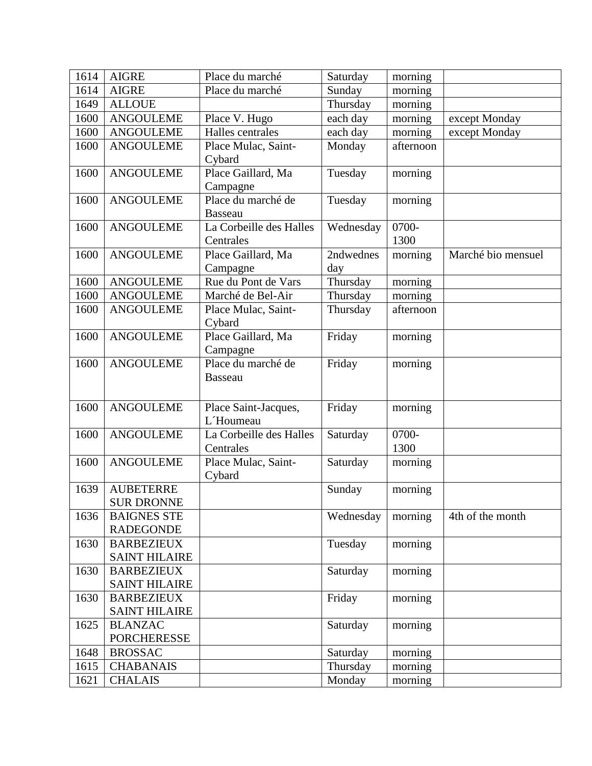| 1614 | <b>AIGRE</b>         | Place du marché         | Saturday  | morning   |                    |
|------|----------------------|-------------------------|-----------|-----------|--------------------|
| 1614 | <b>AIGRE</b>         | Place du marché         | Sunday    | morning   |                    |
| 1649 | <b>ALLOUE</b>        |                         | Thursday  | morning   |                    |
| 1600 | <b>ANGOULEME</b>     | Place V. Hugo           | each day  | morning   | except Monday      |
| 1600 | <b>ANGOULEME</b>     | Halles centrales        | each day  | morning   | except Monday      |
| 1600 | <b>ANGOULEME</b>     | Place Mulac, Saint-     | Monday    | afternoon |                    |
|      |                      | Cybard                  |           |           |                    |
| 1600 | <b>ANGOULEME</b>     | Place Gaillard, Ma      | Tuesday   | morning   |                    |
|      |                      | Campagne                |           |           |                    |
| 1600 | <b>ANGOULEME</b>     | Place du marché de      | Tuesday   | morning   |                    |
|      |                      | <b>Basseau</b>          |           |           |                    |
| 1600 | <b>ANGOULEME</b>     | La Corbeille des Halles | Wednesday | 0700-     |                    |
|      |                      | Centrales               |           | 1300      |                    |
| 1600 | <b>ANGOULEME</b>     | Place Gaillard, Ma      | 2ndwednes | morning   | Marché bio mensuel |
|      |                      | Campagne                | day       |           |                    |
| 1600 | <b>ANGOULEME</b>     | Rue du Pont de Vars     | Thursday  | morning   |                    |
| 1600 | <b>ANGOULEME</b>     | Marché de Bel-Air       | Thursday  | morning   |                    |
| 1600 | <b>ANGOULEME</b>     | Place Mulac, Saint-     | Thursday  | afternoon |                    |
|      |                      | Cybard                  |           |           |                    |
| 1600 | <b>ANGOULEME</b>     | Place Gaillard, Ma      | Friday    | morning   |                    |
|      |                      | Campagne                |           |           |                    |
| 1600 | <b>ANGOULEME</b>     | Place du marché de      | Friday    | morning   |                    |
|      |                      | <b>Basseau</b>          |           |           |                    |
|      |                      |                         |           |           |                    |
| 1600 | <b>ANGOULEME</b>     | Place Saint-Jacques,    | Friday    | morning   |                    |
|      |                      | L'Houmeau               |           |           |                    |
| 1600 | <b>ANGOULEME</b>     | La Corbeille des Halles | Saturday  | 0700-     |                    |
|      |                      | Centrales               |           | 1300      |                    |
| 1600 | <b>ANGOULEME</b>     | Place Mulac, Saint-     | Saturday  | morning   |                    |
|      |                      | Cybard                  |           |           |                    |
| 1639 | <b>AUBETERRE</b>     |                         | Sunday    | morning   |                    |
|      | <b>SUR DRONNE</b>    |                         |           |           |                    |
| 1636 | <b>BAIGNES STE</b>   |                         | Wednesday | morning   | 4th of the month   |
|      | <b>RADEGONDE</b>     |                         |           |           |                    |
| 1630 | <b>BARBEZIEUX</b>    |                         | Tuesday   | morning   |                    |
|      | <b>SAINT HILAIRE</b> |                         |           |           |                    |
| 1630 | <b>BARBEZIEUX</b>    |                         | Saturday  | morning   |                    |
|      | <b>SAINT HILAIRE</b> |                         |           |           |                    |
| 1630 | <b>BARBEZIEUX</b>    |                         | Friday    | morning   |                    |
|      | <b>SAINT HILAIRE</b> |                         |           |           |                    |
| 1625 | <b>BLANZAC</b>       |                         | Saturday  | morning   |                    |
|      | <b>PORCHERESSE</b>   |                         |           |           |                    |
| 1648 | <b>BROSSAC</b>       |                         | Saturday  | morning   |                    |
| 1615 | <b>CHABANAIS</b>     |                         | Thursday  | morning   |                    |
| 1621 | <b>CHALAIS</b>       |                         | Monday    | morning   |                    |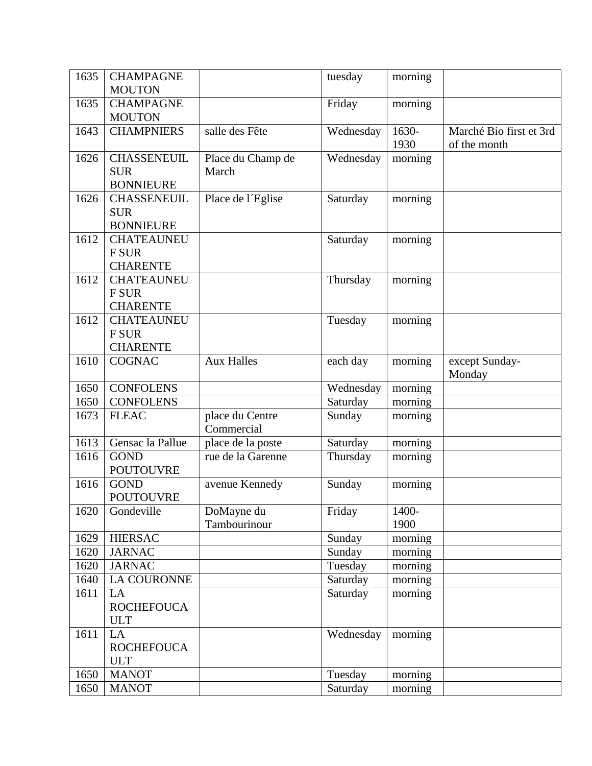| 1635 | <b>CHAMPAGNE</b>                                     |                               | tuesday   | morning       |                                         |
|------|------------------------------------------------------|-------------------------------|-----------|---------------|-----------------------------------------|
|      | <b>MOUTON</b>                                        |                               |           |               |                                         |
| 1635 | <b>CHAMPAGNE</b><br><b>MOUTON</b>                    |                               | Friday    | morning       |                                         |
| 1643 | <b>CHAMPNIERS</b>                                    | salle des Fête                | Wednesday | 1630-<br>1930 | Marché Bio first et 3rd<br>of the month |
| 1626 | <b>CHASSENEUIL</b><br><b>SUR</b><br><b>BONNIEURE</b> | Place du Champ de<br>March    | Wednesday | morning       |                                         |
| 1626 | <b>CHASSENEUIL</b><br><b>SUR</b><br><b>BONNIEURE</b> | Place de l'Eglise             | Saturday  | morning       |                                         |
| 1612 | <b>CHATEAUNEU</b><br><b>F SUR</b><br><b>CHARENTE</b> |                               | Saturday  | morning       |                                         |
| 1612 | <b>CHATEAUNEU</b><br>F SUR<br><b>CHARENTE</b>        |                               | Thursday  | morning       |                                         |
| 1612 | <b>CHATEAUNEU</b><br>F SUR<br><b>CHARENTE</b>        |                               | Tuesday   | morning       |                                         |
| 1610 | <b>COGNAC</b>                                        | <b>Aux Halles</b>             | each day  | morning       | except Sunday-<br>Monday                |
| 1650 | <b>CONFOLENS</b>                                     |                               | Wednesday | morning       |                                         |
| 1650 | <b>CONFOLENS</b>                                     |                               | Saturday  | morning       |                                         |
| 1673 | <b>FLEAC</b>                                         | place du Centre<br>Commercial | Sunday    | morning       |                                         |
| 1613 | Gensac la Pallue                                     | place de la poste             | Saturday  | morning       |                                         |
| 1616 | <b>GOND</b><br><b>POUTOUVRE</b>                      | rue de la Garenne             | Thursday  | morning       |                                         |
| 1616 | <b>GOND</b><br><b>POUTOUVRE</b>                      | avenue Kennedy                | Sunday    | morning       |                                         |
| 1620 | Gondeville                                           | DoMayne du<br>Tambourinour    | Friday    | 1400-<br>1900 |                                         |
| 1629 | <b>HIERSAC</b>                                       |                               | Sunday    | morning       |                                         |
| 1620 | <b>JARNAC</b>                                        |                               | Sunday    | morning       |                                         |
| 1620 | <b>JARNAC</b>                                        |                               | Tuesday   | morning       |                                         |
| 1640 | LA COURONNE                                          |                               | Saturday  | morning       |                                         |
| 1611 | LA<br><b>ROCHEFOUCA</b><br><b>ULT</b>                |                               | Saturday  | morning       |                                         |
| 1611 | LA<br><b>ROCHEFOUCA</b><br><b>ULT</b>                |                               | Wednesday | morning       |                                         |
| 1650 | <b>MANOT</b>                                         |                               | Tuesday   | morning       |                                         |
| 1650 | <b>MANOT</b>                                         |                               | Saturday  | morning       |                                         |